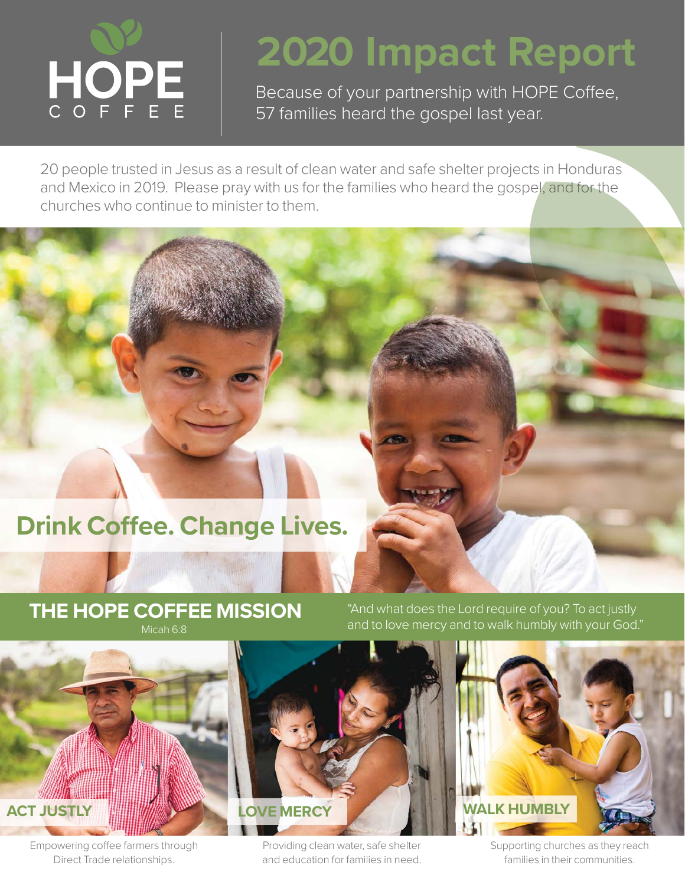

## **2020 Impact Report**

Because of your partnership with HOPE Coffee, 57 families heard the gospel last year.

20 people trusted in Jesus as a result of clean water and safe shelter projects in Honduras and Mexico in 2019. Please pray with us for the families who heard the gospel, and for the churches who continue to minister to them.

## **Drink Coffee. Change Lives.**

## **THE HOPE COFFEE MISSION**

"And what does the Lord require of you? To act justly and to love mercy and to walk humbly with your God."



Empowering coffee farmers through Direct Trade relationships.



Supporting churches as they reach families in their communities.